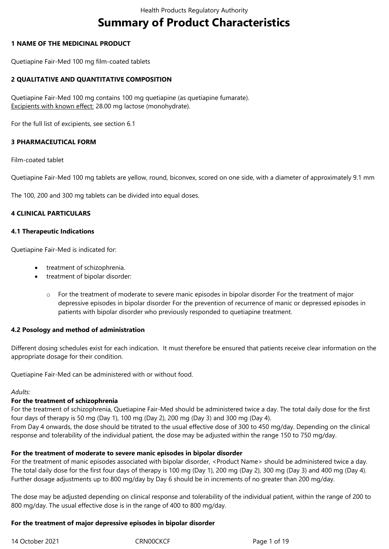# **Summary of Product Characteristics**

#### **1 NAME OF THE MEDICINAL PRODUCT**

Quetiapine Fair-Med 100 mg film-coated tablets

## **2 QUALITATIVE AND QUANTITATIVE COMPOSITION**

Quetiapine Fair-Med 100 mg contains 100 mg quetiapine (as quetiapine fumarate). Excipients with known effect: 28.00 mg lactose (monohydrate).

For the full list of excipients, see section 6.1

## **3 PHARMACEUTICAL FORM**

Film-coated tablet

Quetiapine Fair-Med 100 mg tablets are yellow, round, biconvex, scored on one side, with a diameter of approximately 9.1 mm

The 100, 200 and 300 mg tablets can be divided into equal doses.

## **4 CLINICAL PARTICULARS**

#### **4.1 Therapeutic Indications**

Quetiapine Fair-Med is indicated for:

- treatment of schizophrenia.
- treatment of bipolar disorder:
	- $\circ$  For the treatment of moderate to severe manic episodes in bipolar disorder For the treatment of major depressive episodes in bipolar disorder For the prevention of recurrence of manic or depressed episodes in patients with bipolar disorder who previously responded to quetiapine treatment.

#### **4.2 Posology and method of administration**

Different dosing schedules exist for each indication. It must therefore be ensured that patients receive clear information on the appropriate dosage for their condition.

Quetiapine Fair-Med can be administered with or without food.

#### *Adults:*

#### **For the treatment of schizophrenia**

For the treatment of schizophrenia, Quetiapine Fair-Med should be administered twice a day. The total daily dose for the first four days of therapy is 50 mg (Day 1), 100 mg (Day 2), 200 mg (Day 3) and 300 mg (Day 4). From Day 4 onwards, the dose should be titrated to the usual effective dose of 300 to 450 mg/day. Depending on the clinical response and tolerability of the individual patient, the dose may be adjusted within the range 150 to 750 mg/day.

#### **For the treatment of moderate to severe manic episodes in bipolar disorder**

For the treatment of manic episodes associated with bipolar disorder, <Product Name> should be administered twice a day. The total daily dose for the first four days of therapy is 100 mg (Day 1), 200 mg (Day 2), 300 mg (Day 3) and 400 mg (Day 4). Further dosage adjustments up to 800 mg/day by Day 6 should be in increments of no greater than 200 mg/day.

The dose may be adjusted depending on clinical response and tolerability of the individual patient, within the range of 200 to 800 mg/day. The usual effective dose is in the range of 400 to 800 mg/day.

#### **For the treatment of major depressive episodes in bipolar disorder**

14 October 2021 **CRNOOCKCF** Page 1 of 19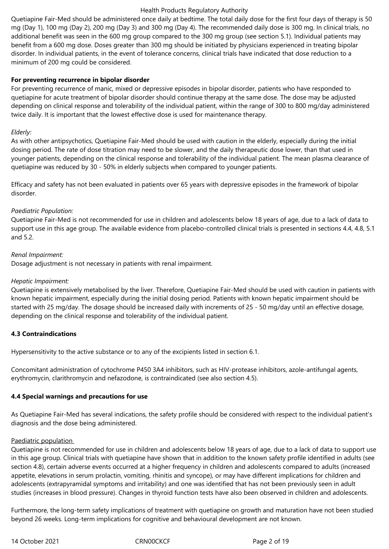Quetiapine Fair-Med should be administered once daily at bedtime. The total daily dose for the first four days of therapy is 50 mg (Day 1), 100 mg (Day 2), 200 mg (Day 3) and 300 mg (Day 4). The recommended daily dose is 300 mg. In clinical trials, no additional benefit was seen in the 600 mg group compared to the 300 mg group (see section 5.1). Individual patients may benefit from a 600 mg dose. Doses greater than 300 mg should be initiated by physicians experienced in treating bipolar disorder. In individual patients, in the event of tolerance concerns, clinical trials have indicated that dose reduction to a minimum of 200 mg could be considered.

#### **For preventing recurrence in bipolar disorder**

For preventing recurrence of manic, mixed or depressive episodes in bipolar disorder, patients who have responded to quetiapine for acute treatment of bipolar disorder should continue therapy at the same dose. The dose may be adjusted depending on clinical response and tolerability of the individual patient, within the range of 300 to 800 mg/day administered twice daily. It is important that the lowest effective dose is used for maintenance therapy.

#### *Elderly:*

As with other antipsychotics, Quetiapine Fair-Med should be used with caution in the elderly, especially during the initial dosing period. The rate of dose titration may need to be slower, and the daily therapeutic dose lower, than that used in younger patients, depending on the clinical response and tolerability of the individual patient. The mean plasma clearance of quetiapine was reduced by 30 - 50% in elderly subjects when compared to younger patients.

Efficacy and safety has not been evaluated in patients over 65 years with depressive episodes in the framework of bipolar disorder.

## *Paediatric Population:*

Quetiapine Fair-Med is not recommended for use in children and adolescents below 18 years of age, due to a lack of data to support use in this age group. The available evidence from placebo-controlled clinical trials is presented in sections 4.4, 4.8, 5.1 and 5.2.

## *Renal Impairment:*

Dosage adjustment is not necessary in patients with renal impairment.

#### *Hepatic Impairment:*

Quetiapine is extensively metabolised by the liver. Therefore, Quetiapine Fair-Med should be used with caution in patients with known hepatic impairment, especially during the initial dosing period. Patients with known hepatic impairment should be started with 25 mg/day. The dosage should be increased daily with increments of 25 - 50 mg/day until an effective dosage, depending on the clinical response and tolerability of the individual patient.

# **4.3 Contraindications**

Hypersensitivity to the active substance or to any of the excipients listed in section 6.1.

Concomitant administration of cytochrome P450 3A4 inhibitors, such as HIV-protease inhibitors, azole-antifungal agents, erythromycin, clarithromycin and nefazodone, is contraindicated (see also section 4.5).

#### **4.4 Special warnings and precautions for use**

As Quetiapine Fair-Med has several indications, the safety profile should be considered with respect to the individual patient's diagnosis and the dose being administered.

#### Paediatric population

Quetiapine is not recommended for use in children and adolescents below 18 years of age, due to a lack of data to support use in this age group. Clinical trials with quetiapine have shown that in addition to the known safety profile identified in adults (see section 4.8), certain adverse events occurred at a higher frequency in children and adolescents compared to adults (increased appetite, elevations in serum prolactin, vomiting, rhinitis and syncope), or may have different implications for children and adolescents (extrapyramidal symptoms and irritability) and one was identified that has not been previously seen in adult studies (increases in blood pressure). Changes in thyroid function tests have also been observed in children and adolescents.

Furthermore, the long-term safety implications of treatment with quetiapine on growth and maturation have not been studied beyond 26 weeks. Long-term implications for cognitive and behavioural development are not known.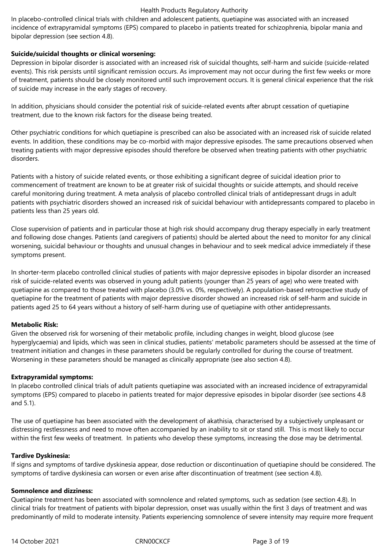In placebo-controlled clinical trials with children and adolescent patients, quetiapine was associated with an increased incidence of extrapyramidal symptoms (EPS) compared to placebo in patients treated for schizophrenia, bipolar mania and bipolar depression (see section 4.8).

## **Suicide/suicidal thoughts or clinical worsening:**

Depression in bipolar disorder is associated with an increased risk of suicidal thoughts, self-harm and suicide (suicide-related events). This risk persists until significant remission occurs. As improvement may not occur during the first few weeks or more of treatment, patients should be closely monitored until such improvement occurs. It is general clinical experience that the risk of suicide may increase in the early stages of recovery.

In addition, physicians should consider the potential risk of suicide-related events after abrupt cessation of quetiapine treatment, due to the known risk factors for the disease being treated.

Other psychiatric conditions for which quetiapine is prescribed can also be associated with an increased risk of suicide related events. In addition, these conditions may be co-morbid with major depressive episodes. The same precautions observed when treating patients with major depressive episodes should therefore be observed when treating patients with other psychiatric disorders.

Patients with a history of suicide related events, or those exhibiting a significant degree of suicidal ideation prior to commencement of treatment are known to be at greater risk of suicidal thoughts or suicide attempts, and should receive careful monitoring during treatment. A meta analysis of placebo controlled clinical trials of antidepressant drugs in adult patients with psychiatric disorders showed an increased risk of suicidal behaviour with antidepressants compared to placebo in patients less than 25 years old.

Close supervision of patients and in particular those at high risk should accompany drug therapy especially in early treatment and following dose changes. Patients (and caregivers of patients) should be alerted about the need to monitor for any clinical worsening, suicidal behaviour or thoughts and unusual changes in behaviour and to seek medical advice immediately if these symptoms present.

In shorter-term placebo controlled clinical studies of patients with major depressive episodes in bipolar disorder an increased risk of suicide-related events was observed in young adult patients (younger than 25 years of age) who were treated with quetiapine as compared to those treated with placebo (3.0% vs. 0%, respectively). A population-based retrospective study of quetiapine for the treatment of patients with major depressive disorder showed an increased risk of self-harm and suicide in patients aged 25 to 64 years without a history of self-harm during use of quetiapine with other antidepressants.

# **Metabolic Risk:**

Given the observed risk for worsening of their metabolic profile, including changes in weight, blood glucose (see hyperglycaemia) and lipids, which was seen in clinical studies, patients' metabolic parameters should be assessed at the time of treatment initiation and changes in these parameters should be regularly controlled for during the course of treatment. Worsening in these parameters should be managed as clinically appropriate (see also section 4.8).

#### **Extrapyramidal symptoms:**

In placebo controlled clinical trials of adult patients quetiapine was associated with an increased incidence of extrapyramidal symptoms (EPS) compared to placebo in patients treated for major depressive episodes in bipolar disorder (see sections 4.8 and 5.1).

The use of quetiapine has been associated with the development of akathisia, characterised by a subjectively unpleasant or distressing restlessness and need to move often accompanied by an inability to sit or stand still. This is most likely to occur within the first few weeks of treatment. In patients who develop these symptoms, increasing the dose may be detrimental.

#### **Tardive Dyskinesia:**

If signs and symptoms of tardive dyskinesia appear, dose reduction or discontinuation of quetiapine should be considered. The symptoms of tardive dyskinesia can worsen or even arise after discontinuation of treatment (see section 4.8).

#### **Somnolence and dizziness:**

Quetiapine treatment has been associated with somnolence and related symptoms, such as sedation (see section 4.8). In clinical trials for treatment of patients with bipolar depression, onset was usually within the first 3 days of treatment and was predominantly of mild to moderate intensity. Patients experiencing somnolence of severe intensity may require more frequent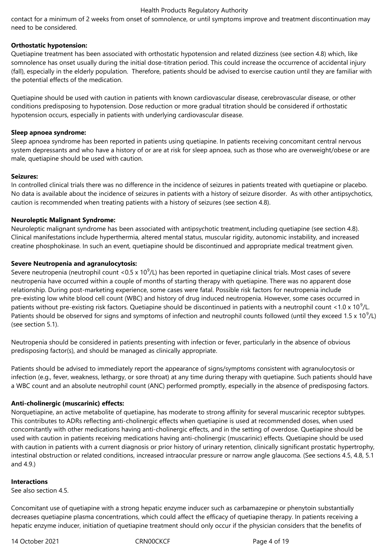contact for a minimum of 2 weeks from onset of somnolence, or until symptoms improve and treatment discontinuation may need to be considered.

#### **Orthostatic hypotension:**

Quetiapine treatment has been associated with orthostatic hypotension and related dizziness (see section 4.8) which, like somnolence has onset usually during the initial dose-titration period. This could increase the occurrence of accidental injury (fall), especially in the elderly population. Therefore, patients should be advised to exercise caution until they are familiar with the potential effects of the medication.

Quetiapine should be used with caution in patients with known cardiovascular disease, cerebrovascular disease, or other conditions predisposing to hypotension. Dose reduction or more gradual titration should be considered if orthostatic hypotension occurs, especially in patients with underlying cardiovascular disease.

#### **Sleep apnoea syndrome:**

Sleep apnoea syndrome has been reported in patients using quetiapine. In patients receiving concomitant central nervous system depressants and who have a history of or are at risk for sleep apnoea, such as those who are overweight/obese or are male, quetiapine should be used with caution.

#### **Seizures:**

In controlled clinical trials there was no difference in the incidence of seizures in patients treated with quetiapine or placebo. No data is available about the incidence of seizures in patients with a history of seizure disorder. As with other antipsychotics, caution is recommended when treating patients with a history of seizures (see section 4.8).

#### **Neuroleptic Malignant Syndrome:**

Neuroleptic malignant syndrome has been associated with antipsychotic treatment,including quetiapine (see section 4.8). Clinical manifestations include hyperthermia, altered mental status, muscular rigidity, autonomic instability, and increased creatine phosphokinase. In such an event, quetiapine should be discontinued and appropriate medical treatment given.

#### **Severe Neutropenia and agranulocytosis:**

Severe neutropenia (neutrophil count <0.5 x 10<sup>9</sup>/L) has been reported in quetiapine clinical trials. Most cases of severe neutropenia have occurred within a couple of months of starting therapy with quetiapine. There was no apparent dose relationship. During post-marketing experience, some cases were fatal. Possible risk factors for neutropenia include pre-existing low white blood cell count (WBC) and history of drug induced neutropenia. However, some cases occurred in patients without pre-existing risk factors. Quetiapine should be discontinued in patients with a neutrophil count <1.0 x 10<sup>9</sup>/L. Patients should be observed for signs and symptoms of infection and neutrophil counts followed (until they exceed 1.5 x 10<sup>9</sup>/L) (see section 5.1).

Neutropenia should be considered in patients presenting with infection or fever, particularly in the absence of obvious predisposing factor(s), and should be managed as clinically appropriate.

Patients should be advised to immediately report the appearance of signs/symptoms consistent with agranulocytosis or infection (e.g., fever, weakness, lethargy, or sore throat) at any time during therapy with quetiapine. Such patients should have a WBC count and an absolute neutrophil count (ANC) performed promptly, especially in the absence of predisposing factors.

#### **Anti-cholinergic (muscarinic) effects:**

Norquetiapine, an active metabolite of quetiapine, has moderate to strong affinity for several muscarinic receptor subtypes. This contributes to ADRs reflecting anti-cholinergic effects when quetiapine is used at recommended doses, when used concomitantly with other medications having anti-cholinergic effects, and in the setting of overdose. Quetiapine should be used with caution in patients receiving medications having anti-cholinergic (muscarinic) effects. Quetiapine should be used with caution in patients with a current diagnosis or prior history of urinary retention, clinically significant prostatic hypertrophy, intestinal obstruction or related conditions, increased intraocular pressure or narrow angle glaucoma. (See sections 4.5, 4.8, 5.1 and 4.9.)

#### **Interactions**

See also section 4.5.

Concomitant use of quetiapine with a strong hepatic enzyme inducer such as carbamazepine or phenytoin substantially decreases quetiapine plasma concentrations, which could affect the efficacy of quetiapine therapy. In patients receiving a hepatic enzyme inducer, initiation of quetiapine treatment should only occur if the physician considers that the benefits of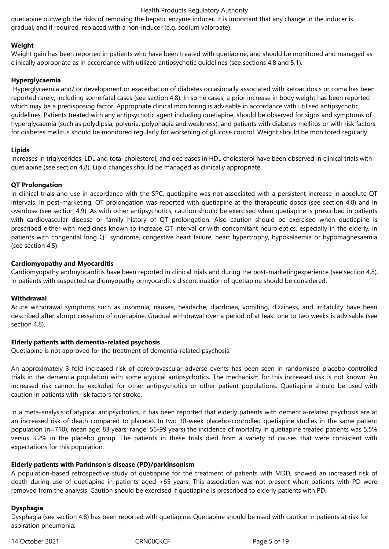quetiapine outweigh the risks of removing the hepatic enzyme inducer. It is important that any change in the inducer is gradual, and if required, replaced with a non-inducer (e.g. sodium valproate).

## **Weight**

Weight gain has been reported in patients who have been treated with quetiapine, and should be monitored and managed as clinically appropriate as in accordance with utilized antipsychotic guidelines (see sections 4.8 and 5.1).

# **Hyperglycaemia**

 Hyperglycaemia and/ or development or exacerbation of diabetes occasionally associated with ketoacidosis or coma has been reported rarely, including some fatal cases (see section 4.8). In some cases, a prior increase in body weight has been reported which may be a predisposing factor. Appropriate clinical monitoring is advisable in accordance with utilised antipsychotic guidelines. Patients treated with any antipsychotic agent including quetiapine, should be observed for signs and symptoms of hyperglycaemia (such as polydipsia, polyuria, polyphagia and weakness), and patients with diabetes mellitus or with risk factors for diabetes mellitus should be monitored regularly for worsening of glucose control. Weight should be monitored regularly.

## **Lipids**

Increases in triglycerides, LDL and total cholesterol, and decreases in HDL cholesterol have been observed in clinical trials with quetiapine (see section 4.8). Lipid changes should be managed as clinically appropriate.

## **QT Prolongation**

In clinical trials and use in accordance with the SPC, quetiapine was not associated with a persistent increase in absolute QT intervals. In post-marketing, QT prolongation was reported with quetiapine at the therapeutic doses (see section 4.8) and in overdose (see section 4.9). As with other antipsychotics, caution should be exercised when quetiapine is prescribed in patients with cardiovascular disease or family history of QT prolongation. Also caution should be exercised when quetiapine is prescribed either with medicines known to increase QT interval or with concomitant neuroleptics, especially in the elderly, in patients with congenital long QT syndrome, congestive heart failure, heart hypertrophy, hypokalaemia or hypomagnesaemia (see section 4.5).

## **Cardiomyopathy and Myocarditis**

Cardiomyopathy andmyocarditis have been reported in clinical trials and during the post-marketingexperience (see section 4.8). In patients with suspected cardiomyopathy ormyocarditis discontinuation of quetiapine should be considered.

#### **Withdrawal**

Acute withdrawal symptoms such as insomnia, nausea, headache, diarrhoea, vomiting, dizziness, and irritability have been described after abrupt cessation of quetiapine. Gradual withdrawal over a period of at least one to two weeks is advisable (see section 4.8).

#### **Elderly patients with dementia-related psychosis**

Quetiapine is not approved for the treatment of dementia-related psychosis.

An approximately 3-fold increased risk of cerebrovascular adverse events has been seen in randomised placebo controlled trials in the dementia population with some atypical antipsychotics. The mechanism for this increased risk is not known. An increased risk cannot be excluded for other antipsychotics or other patient populations. Quetiapine should be used with caution in patients with risk factors for stroke.

In a meta-analysis of atypical antipsychotics, it has been reported that elderly patients with dementia-related psychosis are at an increased risk of death compared to placebo. In two 10-week placebo-controlled quetiapine studies in the same patient population (n=710); mean age: 83 years; range: 56-99 years) the incidence of mortality in quetiapine treated patients was 5.5% versus 3.2% in the placebo group. The patients in these trials died from a variety of causes that were consistent with expectations for this population.

# **Elderly patients with Parkinson's disease (PD)/parkinsonism**

A population-based retrospective study of quetiapine for the treatment of patients with MDD, showed an increased risk of death during use of quetiapine in patients aged >65 years. This association was not present when patients with PD were removed from the analysis. Caution should be exercised if quetiapine is prescribed to elderly patients with PD.

# **Dysphagia**

Dysphagia (see section 4.8) has been reported with quetiapine. Quetiapine should be used with caution in patients at risk for aspiration pneumonia.

14 October 2021 **CRNOOCKCF** Page 5 of 19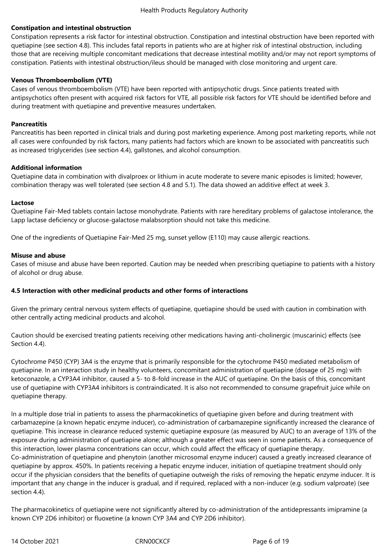## **Constipation and intestinal obstruction**

Constipation represents a risk factor for intestinal obstruction. Constipation and intestinal obstruction have been reported with quetiapine (see section 4.8). This includes fatal reports in patients who are at higher risk of intestinal obstruction, including those that are receiving multiple concomitant medications that decrease intestinal motility and/or may not report symptoms of constipation. Patients with intestinal obstruction/ileus should be managed with close monitoring and urgent care.

## **Venous Thromboembolism (VTE)**

Cases of venous thromboembolism (VTE) have been reported with antipsychotic drugs. Since patients treated with antipsychotics often present with acquired risk factors for VTE, all possible risk factors for VTE should be identified before and during treatment with quetiapine and preventive measures undertaken.

#### **Pancreatitis**

Pancreatitis has been reported in clinical trials and during post marketing experience. Among post marketing reports, while not all cases were confounded by risk factors, many patients had factors which are known to be associated with pancreatitis such as increased triglycerides (see section 4.4), gallstones, and alcohol consumption.

## **Additional information**

Quetiapine data in combination with divalproex or lithium in acute moderate to severe manic episodes is limited; however, combination therapy was well tolerated (see section 4.8 and 5.1). The data showed an additive effect at week 3.

#### **Lactose**

Quetiapine Fair-Med tablets contain lactose monohydrate. Patients with rare hereditary problems of galactose intolerance, the Lapp lactase deficiency or glucose-galactose malabsorption should not take this medicine.

One of the ingredients of Quetiapine Fair-Med 25 mg, sunset yellow (E110) may cause allergic reactions.

## **Misuse and abuse**

Cases of misuse and abuse have been reported. Caution may be needed when prescribing quetiapine to patients with a history of alcohol or drug abuse.

# **4.5 Interaction with other medicinal products and other forms of interactions**

Given the primary central nervous system effects of quetiapine, quetiapine should be used with caution in combination with other centrally acting medicinal products and alcohol.

Caution should be exercised treating patients receiving other medications having anti-cholinergic (muscarinic) effects (see Section 4.4).

Cytochrome P450 (CYP) 3A4 is the enzyme that is primarily responsible for the cytochrome P450 mediated metabolism of quetiapine. In an interaction study in healthy volunteers, concomitant administration of quetiapine (dosage of 25 mg) with ketoconazole, a CYP3A4 inhibitor, caused a 5- to 8-fold increase in the AUC of quetiapine. On the basis of this, concomitant use of quetiapine with CYP3A4 inhibitors is contraindicated. It is also not recommended to consume grapefruit juice while on quetiapine therapy.

In a multiple dose trial in patients to assess the pharmacokinetics of quetiapine given before and during treatment with carbamazepine (a known hepatic enzyme inducer), co-administration of carbamazepine significantly increased the clearance of quetiapine. This increase in clearance reduced systemic quetiapine exposure (as measured by AUC) to an average of 13% of the exposure during administration of quetiapine alone; although a greater effect was seen in some patients. As a consequence of this interaction, lower plasma concentrations can occur, which could affect the efficacy of quetiapine therapy. Co-administration of quetiapine and phenytoin (another microsomal enzyme inducer) caused a greatly increased clearance of quetiapine by approx. 450%. In patients receiving a hepatic enzyme inducer, initiation of quetiapine treatment should only occur if the physician considers that the benefits of quetiapine outweigh the risks of removing the hepatic enzyme inducer. It is important that any change in the inducer is gradual, and if required, replaced with a non-inducer (e.g. sodium valproate) (see section 4.4).

The pharmacokinetics of quetiapine were not significantly altered by co-administration of the antidepressants imipramine (a known CYP 2D6 inhibitor) or fluoxetine (a known CYP 3A4 and CYP 2D6 inhibitor).

14 October 2021 **CRNOOCKCF** Page 6 of 19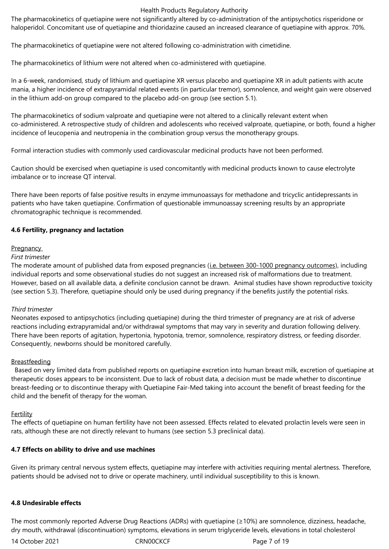The pharmacokinetics of quetiapine were not significantly altered by co-administration of the antipsychotics risperidone or haloperidol. Concomitant use of quetiapine and thioridazine caused an increased clearance of quetiapine with approx. 70%.

The pharmacokinetics of quetiapine were not altered following co-administration with cimetidine.

The pharmacokinetics of lithium were not altered when co-administered with quetiapine.

In a 6-week, randomised, study of lithium and quetiapine XR versus placebo and quetiapine XR in adult patients with acute mania, a higher incidence of extrapyramidal related events (in particular tremor), somnolence, and weight gain were observed in the lithium add-on group compared to the placebo add-on group (see section 5.1).

The pharmacokinetics of sodium valproate and quetiapine were not altered to a clinically relevant extent when co-administered. A retrospective study of children and adolescents who received valproate, quetiapine, or both, found a higher incidence of leucopenia and neutropenia in the combination group versus the monotherapy groups.

Formal interaction studies with commonly used cardiovascular medicinal products have not been performed.

Caution should be exercised when quetiapine is used concomitantly with medicinal products known to cause electrolyte imbalance or to increase QT interval.

There have been reports of false positive results in enzyme immunoassays for methadone and tricyclic antidepressants in patients who have taken quetiapine. Confirmation of questionable immunoassay screening results by an appropriate chromatographic technique is recommended.

#### **4.6 Fertility, pregnancy and lactation**

#### **Pregnancy**

#### *First trimester*

The moderate amount of published data from exposed pregnancies (*i.e. between 300-1000 pregnancy outcomes*), including individual reports and some observational studies do not suggest an increased risk of malformations due to treatment. However, based on all available data, a definite conclusion cannot be drawn. Animal studies have shown reproductive toxicity (see section 5.3). Therefore, quetiapine should only be used during pregnancy if the benefits justify the potential risks.

#### *Third trimester*

Neonates exposed to antipsychotics (including quetiapine) during the third trimester of pregnancy are at risk of adverse reactions including extrapyramidal and/or withdrawal symptoms that may vary in severity and duration following delivery. There have been reports of agitation, hypertonia, hypotonia, tremor, somnolence, respiratory distress, or feeding disorder. Consequently, newborns should be monitored carefully.

#### Breastfeeding

 Based on very limited data from published reports on quetiapine excretion into human breast milk, excretion of quetiapine at therapeutic doses appears to be inconsistent. Due to lack of robust data, a decision must be made whether to discontinue breast-feeding or to discontinue therapy with Quetiapine Fair-Med taking into account the benefit of breast feeding for the child and the benefit of therapy for the woman.

#### Fertility

The effects of quetiapine on human fertility have not been assessed. Effects related to elevated prolactin levels were seen in rats, although these are not directly relevant to humans (see section 5.3 preclinical data).

#### **4.7 Effects on ability to drive and use machines**

Given its primary central nervous system effects, quetiapine may interfere with activities requiring mental alertness. Therefore, patients should be advised not to drive or operate machinery, until individual susceptibility to this is known.

#### **4.8 Undesirable effects**

The most commonly reported Adverse Drug Reactions (ADRs) with quetiapine (≥10%) are somnolence, dizziness, headache, dry mouth, withdrawal (discontinuation) symptoms, elevations in serum triglyceride levels, elevations in total cholesterol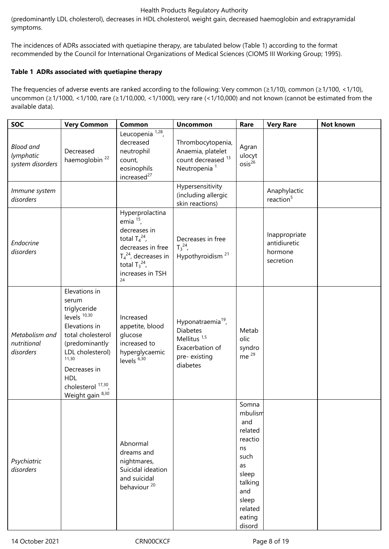(predominantly LDL cholesterol), decreases in HDL cholesterol, weight gain, decreased haemoglobin and extrapyramidal symptoms.

The incidences of ADRs associated with quetiapine therapy, are tabulated below (Table 1) according to the format recommended by the Council for International Organizations of Medical Sciences (CIOMS III Working Group; 1995).

# **Table 1 ADRs associated with quetiapine therapy**

The frequencies of adverse events are ranked according to the following: Very common (≥1/10), common (≥1/100, <1/10), uncommon (≥1/1000, <1/100, rare (≥1/10,000, <1/1000), very rare (<1/10,000) and not known (cannot be estimated from the available data).

| <b>SOC</b>                                        | <b>Very Common</b>                                                                                                                                                                                                    | Common                                                                                                                                                                 | <b>Uncommon</b>                                                                                                            | Rare                                                                                                                                 | <b>Very Rare</b>                                      | Not known |
|---------------------------------------------------|-----------------------------------------------------------------------------------------------------------------------------------------------------------------------------------------------------------------------|------------------------------------------------------------------------------------------------------------------------------------------------------------------------|----------------------------------------------------------------------------------------------------------------------------|--------------------------------------------------------------------------------------------------------------------------------------|-------------------------------------------------------|-----------|
| <b>Blood and</b><br>lymphatic<br>system disorders | Decreased<br>haemoglobin <sup>22</sup>                                                                                                                                                                                | Leucopenia <sup>1,28</sup> ,<br>decreased<br>neutrophil<br>count,<br>eosinophils<br>increased <sup>27</sup>                                                            | Thrombocytopenia,<br>Anaemia, platelet<br>count decreased <sup>13</sup><br>Neutropenia <sup>1</sup>                        | Agran<br>ulocyt<br>$\text{osis}^{26}$                                                                                                |                                                       |           |
| Immune system<br>disorders                        |                                                                                                                                                                                                                       |                                                                                                                                                                        | Hypersensitivity<br>(including allergic<br>skin reactions)                                                                 |                                                                                                                                      | Anaphylactic<br>reaction <sup>5</sup>                 |           |
| Endocrine<br>disorders                            |                                                                                                                                                                                                                       | Hyperprolactina<br>emia $15$ ,<br>decreases in<br>total $T_4^{24}$ ,<br>decreases in free<br>$T_4^{24}$ , decreases in<br>total $T_3^{24}$ ,<br>increases in TSH<br>24 | Decreases in free<br>$T_3^{24}$<br>Hypothyroidism <sup>21</sup>                                                            |                                                                                                                                      | Inappropriate<br>antidiuretic<br>hormone<br>secretion |           |
| Metabolism and<br>nutritional<br>disorders        | Elevations in<br>serum<br>triglyceride<br>levels $10,30$<br>Elevations in<br>total cholesterol<br>(predominantly<br>LDL cholesterol)<br>11,30<br>Decreases in<br><b>HDL</b><br>cholesterol 17,30,<br>Weight gain 8,30 | Increased<br>appetite, blood<br>glucose<br>increased to<br>hyperglycaemic<br>levels $6,30$                                                                             | Hyponatraemia <sup>19</sup> ,<br><b>Diabetes</b><br>Mellitus <sup>1,5</sup><br>Exacerbation of<br>pre-existing<br>diabetes | Metab<br>olic<br>syndro<br>me $^{29}$                                                                                                |                                                       |           |
| Psychiatric<br>disorders                          |                                                                                                                                                                                                                       | Abnormal<br>dreams and<br>nightmares,<br>Suicidal ideation<br>and suicidal<br>behaviour <sup>20</sup>                                                                  |                                                                                                                            | Somna<br>mbulism<br>and<br>related<br>reactio<br>ns<br>such<br>as<br>sleep<br>talking<br>and<br>sleep<br>related<br>eating<br>disord |                                                       |           |

14 October 2021 CRN00CKCF Page 8 of 19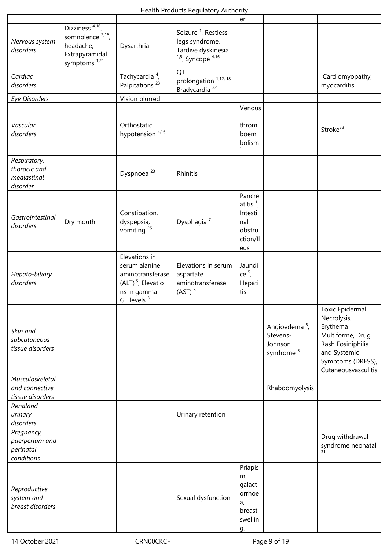|                                                         |                                                                                                                        |                                                                                                                      |                                                                                                   | er                                                                                  |                                                                           |                                                                                                                                                        |
|---------------------------------------------------------|------------------------------------------------------------------------------------------------------------------------|----------------------------------------------------------------------------------------------------------------------|---------------------------------------------------------------------------------------------------|-------------------------------------------------------------------------------------|---------------------------------------------------------------------------|--------------------------------------------------------------------------------------------------------------------------------------------------------|
| Nervous system<br>disorders                             | Dizziness <sup>4,16</sup> ,<br>somnolence <sup>2,16</sup> ,<br>headache,<br>Extrapyramidal<br>symptoms <sup>1,21</sup> | Dysarthria                                                                                                           | Seizure <sup>1</sup> , Restless<br>legs syndrome,<br>Tardive dyskinesia<br>$1.5$ , Syncope $4.16$ |                                                                                     |                                                                           |                                                                                                                                                        |
| Cardiac<br>disorders                                    |                                                                                                                        | Tachycardia <sup>4</sup> ,<br>Palpitations <sup>23</sup>                                                             | QT<br>prolongation <sup>1,12, 18</sup><br>Bradycardia <sup>32</sup>                               |                                                                                     |                                                                           | Cardiomyopathy,<br>myocarditis                                                                                                                         |
| <b>Eye Disorders</b>                                    |                                                                                                                        | Vision blurred                                                                                                       |                                                                                                   |                                                                                     |                                                                           |                                                                                                                                                        |
| Vascular<br>disorders                                   |                                                                                                                        | Orthostatic<br>hypotension <sup>4,16</sup>                                                                           |                                                                                                   | Venous<br>throm<br>boem<br>bolism                                                   |                                                                           | Stroke <sup>33</sup>                                                                                                                                   |
| Respiratory,<br>thoracic and<br>mediastinal<br>disorder |                                                                                                                        | Dyspnoea <sup>23</sup>                                                                                               | Rhinitis                                                                                          |                                                                                     |                                                                           |                                                                                                                                                        |
| Gastrointestinal<br>disorders                           | Dry mouth                                                                                                              | Constipation,<br>dyspepsia,<br>vomiting $25$                                                                         | Dysphagia <sup>7</sup>                                                                            | Pancre<br>atitis $\frac{1}{2}$<br>Intesti<br>nal<br>obstru<br>ction/II<br>eus       |                                                                           |                                                                                                                                                        |
| Hepato-biliary<br>disorders                             |                                                                                                                        | Elevations in<br>serum alanine<br>aminotransferase<br>(ALT) $3$ , Elevatio<br>ns in gamma-<br>GT levels <sup>3</sup> | Elevations in serum<br>aspartate<br>aminotransferase<br>$(AST)$ <sup>3</sup>                      | Jaundi<br>$ce5$ ,<br>Hepati<br>tis                                                  |                                                                           |                                                                                                                                                        |
| Skin and<br>subcutaneous<br>tissue disorders            |                                                                                                                        |                                                                                                                      |                                                                                                   |                                                                                     | Angioedema <sup>5</sup> ,<br>Stevens-<br>Johnson<br>syndrome <sup>5</sup> | <b>Toxic Epidermal</b><br>Necrolysis,<br>Erythema<br>Multiforme, Drug<br>Rash Eosiniphilia<br>and Systemic<br>Symptoms (DRESS),<br>Cutaneousvasculitis |
| Musculoskeletal<br>and connective<br>tissue disorders   |                                                                                                                        |                                                                                                                      |                                                                                                   |                                                                                     | Rhabdomyolysis                                                            |                                                                                                                                                        |
| Renaland<br>urinary<br>disorders                        |                                                                                                                        |                                                                                                                      | Urinary retention                                                                                 |                                                                                     |                                                                           |                                                                                                                                                        |
| Pregnancy,<br>puerperium and<br>perinatal<br>conditions |                                                                                                                        |                                                                                                                      |                                                                                                   |                                                                                     |                                                                           | Drug withdrawal<br>syndrome neonatal<br>31                                                                                                             |
| Reproductive<br>system and<br>breast disorders          |                                                                                                                        |                                                                                                                      | Sexual dysfunction                                                                                | Priapis<br>m <sub>r</sub><br>galact<br>orrhoe<br>$a_{i}$<br>breast<br>swellin<br>g, |                                                                           |                                                                                                                                                        |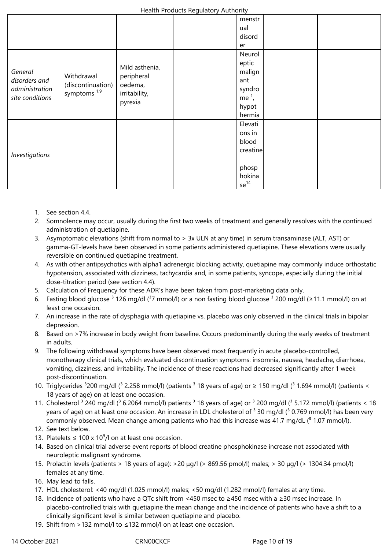|                                                               |                                                   |                                                                     | menstr<br>ual |  |
|---------------------------------------------------------------|---------------------------------------------------|---------------------------------------------------------------------|---------------|--|
|                                                               |                                                   |                                                                     | disord        |  |
|                                                               |                                                   |                                                                     | er            |  |
| General<br>disorders and<br>administration<br>site conditions | Withdrawal<br>(discontinuation)<br>symptoms $1,9$ | Mild asthenia,<br>peripheral<br>oedema,<br>irritability,<br>pyrexia | Neurol        |  |
|                                                               |                                                   |                                                                     | eptic         |  |
|                                                               |                                                   |                                                                     | malign        |  |
|                                                               |                                                   |                                                                     | ant           |  |
|                                                               |                                                   |                                                                     | syndro        |  |
|                                                               |                                                   |                                                                     | me $1$        |  |
|                                                               |                                                   |                                                                     | hypot         |  |
|                                                               |                                                   |                                                                     | hermia        |  |
|                                                               |                                                   |                                                                     | Elevati       |  |
|                                                               |                                                   |                                                                     | ons in        |  |
|                                                               |                                                   |                                                                     | blood         |  |
|                                                               |                                                   |                                                                     | creatine      |  |
| Investigations                                                |                                                   |                                                                     |               |  |
|                                                               |                                                   |                                                                     | phosp         |  |
|                                                               |                                                   |                                                                     | hokina        |  |
|                                                               |                                                   |                                                                     | $se^{14}$     |  |

- 1. See section 4.4.
- 2. Somnolence may occur, usually during the first two weeks of treatment and generally resolves with the continued administration of quetiapine.
- 3. Asymptomatic elevations (shift from normal to > 3x ULN at any time) in serum transaminase (ALT, AST) or gamma-GT-levels have been observed in some patients administered quetiapine. These elevations were usually reversible on continued quetiapine treatment.
- 4. As with other antipsychotics with alpha1 adrenergic blocking activity, quetiapine may commonly induce orthostatic hypotension, associated with dizziness, tachycardia and, in some patients, syncope, especially during the initial dose-titration period (see section 4.4).
- 5. Calculation of Frequency for these ADR's have been taken from post-marketing data only.
- 6. Fasting blood glucose <sup>3</sup> 126 mg/dl (<sup>3</sup>7 mmol/l) or a non fasting blood glucose <sup>3</sup> 200 mg/dl (≥11.1 mmol/l) on at least one occasion.
- 7. An increase in the rate of dysphagia with quetiapine vs. placebo was only observed in the clinical trials in bipolar depression.
- 8. Based on >7% increase in body weight from baseline. Occurs predominantly during the early weeks of treatment in adults.
- 9. The following withdrawal symptoms have been observed most frequently in acute placebo-controlled, monotherapy clinical trials, which evaluated discontinuation symptoms: insomnia, nausea, headache, diarrhoea, vomiting, dizziness, and irritability. The incidence of these reactions had decreased significantly after 1 week post-discontinuation.
- 10. Triglycerides  $3200$  mg/dl ( $32.258$  mmol/l) (patients  $318$  years of age) or ≥ 150 mg/dl ( $31.694$  mmol/l) (patients < 18 years of age) on at least one occasion.
- 11. Cholesterol  $3$  240 mg/dl ( $3$  6.2064 mmol/l) patients  $3$  18 years of age) or  $3$  200 mg/dl ( $3$  5.172 mmol/l) (patients < 18 years of age) on at least one occasion. An increase in LDL cholesterol of  $3$  30 mg/dl ( $3$  0.769 mmol/l) has been very commonly observed. Mean change among patients who had this increase was 41.7 mg/dL  $(^3$  1.07 mmol/l).
- 12. See text below.
- 13. Platelets ≤ 100 x 10<sup>9</sup>/l on at least one occasion.
- 14. Based on clinical trial adverse event reports of blood creatine phosphokinase increase not associated with neuroleptic malignant syndrome.
- 15. Prolactin levels (patients > 18 years of age): >20 μg/l (> 869.56 pmol/l) males; > 30 μg/l (> 1304.34 pmol/l) females at any time.
- 16. May lead to falls.
- 17. HDL cholesterol: <40 mg/dl (1.025 mmol/l) males; <50 mg/dl (1.282 mmol/l) females at any time.
- 18. Incidence of patients who have a QTc shift from <450 msec to ≥450 msec with a ≥30 msec increase. In placebo-controlled trials with quetiapine the mean change and the incidence of patients who have a shift to a clinically significant level is similar between quetiapine and placebo.
- 19. Shift from >132 mmol/l to ≤132 mmol/l on at least one occasion.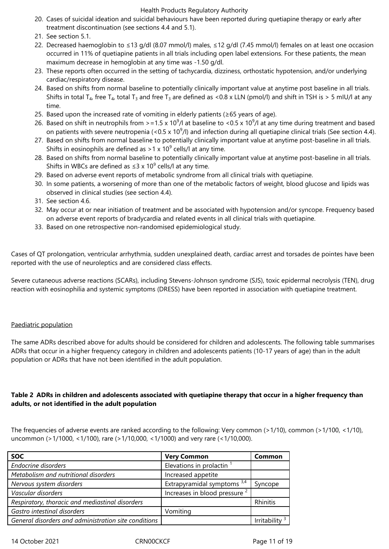- 20. Cases of suicidal ideation and suicidal behaviours have been reported during quetiapine therapy or early after treatment discontinuation (see sections 4.4 and 5.1).
- 21. See section 5.1.
- 22. Decreased haemoglobin to ≤13 g/dl (8.07 mmol/l) males, ≤12 g/dl (7.45 mmol/l) females on at least one occasion occurred in 11% of quetiapine patients in all trials including open label extensions. For these patients, the mean maximum decrease in hemoglobin at any time was -1.50 g/dl.
- 23. These reports often occurred in the setting of tachycardia, dizziness, orthostatic hypotension, and/or underlying cardiac/respiratory disease.
- 24. Based on shifts from normal baseline to potentially clinically important value at anytime post baseline in all trials. Shifts in total T<sub>4</sub>, free T<sub>4</sub>, total T<sub>3</sub> and free T<sub>3</sub> are defined as <0.8 x LLN (pmol/l) and shift in TSH is > 5 mIU/l at any time.
- 25. Based upon the increased rate of vomiting in elderly patients ( $\geq$ 65 years of age).
- 26. Based on shift in neutrophils from >=1.5 x 10<sup>9</sup>/l at baseline to <0.5 x 10<sup>9</sup>/l at any time during treatment and based on patients with severe neutropenia (<0.5 x 10<sup>9</sup>/l) and infection during all quetiapine clinical trials (See section 4.4).
- 27. Based on shifts from normal baseline to potentially clinically important value at anytime post-baseline in all trials. Shifts in eosinophils are defined as >1 x  $10^9$  cells/l at any time.
- 28. Based on shifts from normal baseline to potentially clinically important value at anytime post-baseline in all trials. Shifts in WBCs are defined as  $\leq$ 3 x 10<sup>9</sup> cells/l at any time.
- 29. Based on adverse event reports of metabolic syndrome from all clinical trials with quetiapine.
- 30. In some patients, a worsening of more than one of the metabolic factors of weight, blood glucose and lipids was observed in clinical studies (see section 4.4).
- 31. See section 4.6.
- 32. May occur at or near initiation of treatment and be associated with hypotension and/or syncope. Frequency based on adverse event reports of bradycardia and related events in all clinical trials with quetiapine.
- 33. Based on one retrospective non-randomised epidemiological study.

Cases of QT prolongation, ventricular arrhythmia, sudden unexplained death, cardiac arrest and torsades de pointes have been reported with the use of neuroleptics and are considered class effects.

Severe cutaneous adverse reactions (SCARs), including Stevens-Johnson syndrome (SJS), toxic epidermal necrolysis (TEN), drug reaction with eosinophilia and systemic symptoms (DRESS) have been reported in association with quetiapine treatment.

# Paediatric population

The same ADRs described above for adults should be considered for children and adolescents. The following table summarises ADRs that occur in a higher frequency category in children and adolescents patients (10-17 years of age) than in the adult population or ADRs that have not been identified in the adult population.

# **Table 2 ADRs in children and adolescents associated with quetiapine therapy that occur in a higher frequency than adults, or not identified in the adult population**

The frequencies of adverse events are ranked according to the following: Very common (>1/10), common (>1/100, <1/10), uncommon (>1/1000, <1/100), rare (>1/10,000, <1/1000) and very rare (<1/10,000).

| <b>SOC</b>                                           | <b>Very Common</b>                       | Common       |
|------------------------------------------------------|------------------------------------------|--------------|
| Endocrine disorders                                  | Elevations in prolactin                  |              |
| Metabolism and nutritional disorders                 | Increased appetite                       |              |
| Nervous system disorders                             | Extrapyramidal symptoms 3,4              | Syncope      |
| Vascular disorders                                   | Increases in blood pressure <sup>2</sup> |              |
| Respiratory, thoracic and mediastinal disorders      |                                          | Rhinitis     |
| Gastro intestinal disorders                          | Vomiting                                 |              |
| General disorders and administration site conditions |                                          | Irritability |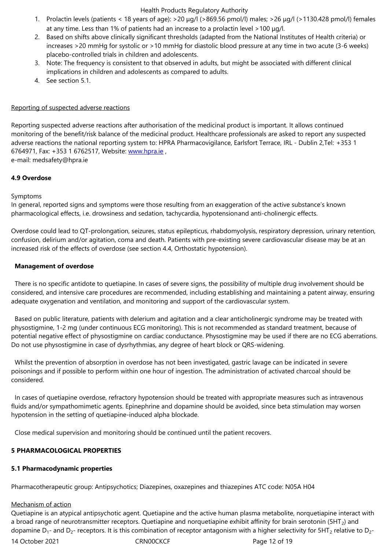- 2. Based on shifts above clinically significant thresholds (adapted from the National Institutes of Health criteria) or increases >20 mmHg for systolic or >10 mmHg for diastolic blood pressure at any time in two acute (3-6 weeks) placebo-controlled trials in children and adolescents.
- 3. Note: The frequency is consistent to that observed in adults, but might be associated with different clinical implications in children and adolescents as compared to adults.
- 4. See section 5.1.

#### Reporting of suspected adverse reactions

Reporting suspected adverse reactions after authorisation of the medicinal product is important. It allows continued monitoring of the benefit/risk balance of the medicinal product. Healthcare professionals are asked to report any suspected adverse reactions the national reporting system to: HPRA Pharmacovigilance, Earlsfort Terrace, IRL - Dublin 2,Tel: +353 1 6764971, Fax: +353 1 6762517, Website: www.hpra.ie , e-mail: medsafety@hpra.ie

# **4.9 Overdose**

#### Symptoms

In general, reported signs and symptoms were those resulting from an exaggeration of the active substance's known pharmacological effects, i.e. drowsiness and sedation, tachycardia, hypotensionand anti-cholinergic effects.

Overdose could lead to QT-prolongation, seizures, status epilepticus, rhabdomyolysis, respiratory depression, urinary retention, confusion, delirium and/or agitation, coma and death. Patients with pre-existing severe cardiovascular disease may be at an increased risk of the effects of overdose (see section 4.4, Orthostatic hypotension).

## **Management of overdose**

 There is no specific antidote to quetiapine. In cases of severe signs, the possibility of multiple drug involvement should be considered, and intensive care procedures are recommended, including establishing and maintaining a patent airway, ensuring adequate oxygenation and ventilation, and monitoring and support of the cardiovascular system.

 Based on public literature, patients with delerium and agitation and a clear anticholinergic syndrome may be treated with physostigmine, 1-2 mg (under continuous ECG monitoring). This is not recommended as standard treatment, because of potential negative effect of physostigmine on cardiac conductance. Physostigmine may be used if there are no ECG aberrations. Do not use physostigmine in case of dysrhythmias, any degree of heart block or QRS-widening.

 Whilst the prevention of absorption in overdose has not been investigated, gastric lavage can be indicated in severe poisonings and if possible to perform within one hour of ingestion. The administration of activated charcoal should be considered.

 In cases of quetiapine overdose, refractory hypotension should be treated with appropriate measures such as intravenous fluids and/or sympathomimetic agents. Epinephrine and dopamine should be avoided, since beta stimulation may worsen hypotension in the setting of quetiapine-induced alpha blockade.

Close medical supervision and monitoring should be continued until the patient recovers.

# **5 PHARMACOLOGICAL PROPERTIES**

#### **5.1 Pharmacodynamic properties**

Pharmacotherapeutic group: Antipsychotics; Diazepines, oxazepines and thiazepines ATC code: N05A H04

#### Mechanism of action

Quetiapine is an atypical antipsychotic agent. Quetiapine and the active human plasma metabolite, norquetiapine interact with a broad range of neurotransmitter receptors. Quetiapine and norquetiapine exhibit affinity for brain serotonin ( $5HT_2$ ) and dopamine  $D_1$ - and  $D_2$ - receptors. It is this combination of receptor antagonism with a higher selectivity for 5HT<sub>2</sub> relative to  $D_2$ -

14 October 2021 **CRNOOCKCF** CROOCKCF Page 12 of 19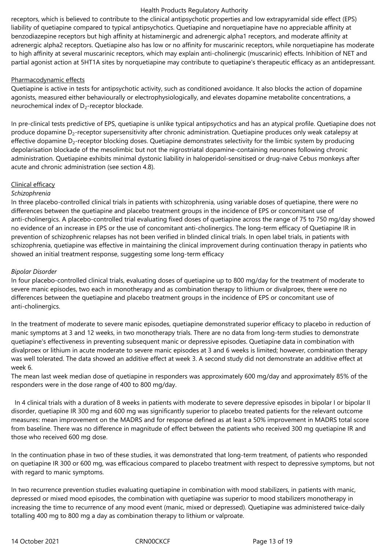receptors, which is believed to contribute to the clinical antipsychotic properties and low extrapyramidal side effect (EPS) liability of quetiapine compared to typical antipsychotics. Quetiapine and norquetiapine have no appreciable affinity at benzodiazepine receptors but high affinity at histaminergic and adrenergic alpha1 receptors, and moderate affinity at adrenergic alpha2 receptors. Quetiapine also has low or no affinity for muscarinic receptors, while norquetiapine has moderate to high affinity at several muscarinic receptors, which may explain anti-cholinergic (muscarinic) effects. Inhibition of NET and partial agonist action at 5HT1A sites by norquetiapine may contribute to quetiapine's therapeutic efficacy as an antidepressant.

## Pharmacodynamic effects

Quetiapine is active in tests for antipsychotic activity, such as conditioned avoidance. It also blocks the action of dopamine agonists, measured either behaviourally or electrophysiologically, and elevates dopamine metabolite concentrations, a neurochemical index of  $D<sub>2</sub>$ -receptor blockade.

In pre-clinical tests predictive of EPS, quetiapine is unlike typical antipsychotics and has an atypical profile. Quetiapine does not produce dopamine D<sub>2</sub>-receptor supersensitivity after chronic administration. Quetiapine produces only weak catalepsy at effective dopamine  $D<sub>2</sub>$ -receptor blocking doses. Quetiapine demonstrates selectivity for the limbic system by producing depolarisation blockade of the mesolimbic but not the nigrostriatal dopamine-containing neurones following chronic administration. Quetiapine exhibits minimal dystonic liability in haloperidol-sensitised or drug-naive Cebus monkeys after acute and chronic administration (see section 4.8).

## Clinical efficacy

#### *Schizophrenia*

In three placebo-controlled clinical trials in patients with schizophrenia, using variable doses of quetiapine, there were no differences between the quetiapine and placebo treatment groups in the incidence of EPS or concomitant use of anti-cholinergics. A placebo-controlled trial evaluating fixed doses of quetiapine across the range of 75 to 750 mg/day showed no evidence of an increase in EPS or the use of concomitant anti-cholinergics. The long-term efficacy of Quetiapine IR in prevention of schizophrenic relapses has not been verified in blinded clinical trials. In open label trials, in patients with schizophrenia, quetiapine was effective in maintaining the clinical improvement during continuation therapy in patients who showed an initial treatment response, suggesting some long-term efficacy

# *Bipolar Disorder*

In four placebo-controlled clinical trials, evaluating doses of quetiapine up to 800 mg/day for the treatment of moderate to severe manic episodes, two each in monotherapy and as combination therapy to lithium or divalproex, there were no differences between the quetiapine and placebo treatment groups in the incidence of EPS or concomitant use of anti-cholinergics.

In the treatment of moderate to severe manic episodes, quetiapine demonstrated superior efficacy to placebo in reduction of manic symptoms at 3 and 12 weeks, in two monotherapy trials. There are no data from long-term studies to demonstrate quetiapine's effectiveness in preventing subsequent manic or depressive episodes. Quetiapine data in combination with divalproex or lithium in acute moderate to severe manic episodes at 3 and 6 weeks is limited; however, combination therapy was well tolerated. The data showed an additive effect at week 3. A second study did not demonstrate an additive effect at week 6.

The mean last week median dose of quetiapine in responders was approximately 600 mg/day and approximately 85% of the responders were in the dose range of 400 to 800 mg/day.

In 4 clinical trials with a duration of 8 weeks in patients with moderate to severe depressive episodes in bipolar I or bipolar II disorder, quetiapine IR 300 mg and 600 mg was significantly superior to placebo treated patients for the relevant outcome measures: mean improvement on the MADRS and for response defined as at least a 50% improvement in MADRS total score from baseline. There was no difference in magnitude of effect between the patients who received 300 mg quetiapine IR and those who received 600 mg dose.

In the continuation phase in two of these studies, it was demonstrated that long-term treatment, of patients who responded on quetiapine IR 300 or 600 mg, was efficacious compared to placebo treatment with respect to depressive symptoms, but not with regard to manic symptoms.

In two recurrence prevention studies evaluating quetiapine in combination with mood stabilizers, in patients with manic, depressed or mixed mood episodes, the combination with quetiapine was superior to mood stabilizers monotherapy in increasing the time to recurrence of any mood event (manic, mixed or depressed). Quetiapine was administered twice-daily totalling 400 mg to 800 mg a day as combination therapy to lithium or valproate.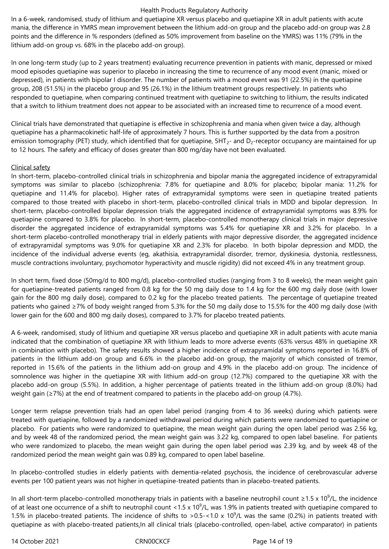In a 6-week, randomised, study of lithium and quetiapine XR versus placebo and quetiapine XR in adult patients with acute mania, the difference in YMRS mean improvement between the lithium add-on group and the placebo add-on group was 2.8 points and the difference in % responders (defined as 50% improvement from baseline on the YMRS) was 11% (79% in the lithium add-on group vs. 68% in the placebo add-on group).

In one long-term study (up to 2 years treatment) evaluating recurrence prevention in patients with manic, depressed or mixed mood episodes quetiapine was superior to placebo in increasing the time to recurrence of any mood event (manic, mixed or depressed), in patients with bipolar I disorder. The number of patients with a mood event was 91 (22.5%) in the quetiapine group, 208 (51.5%) in the placebo group and 95 (26.1%) in the lithium treatment groups respectively. In patients who responded to quetiapine, when comparing continued treatment with quetiapine to switching to lithium, the results indicated that a switch to lithium treatment does not appear to be associated with an increased time to recurrence of a mood event.

Clinical trials have demonstrated that quetiapine is effective in schizophrenia and mania when given twice a day, although quetiapine has a pharmacokinetic half-life of approximately 7 hours. This is further supported by the data from a positron emission tomography (PET) study, which identified that for quetiapine, 5HT<sub>2</sub>- and D<sub>2</sub>-receptor occupancy are maintained for up to 12 hours. The safety and efficacy of doses greater than 800 mg/day have not been evaluated.

#### Clinical safety

In short-term, placebo-controlled clinical trials in schizophrenia and bipolar mania the aggregated incidence of extrapyramidal symptoms was similar to placebo (schizophrenia: 7.8% for quetiapine and 8.0% for placebo; bipolar mania: 11.2% for quetiapine and 11.4% for placebo). Higher rates of extrapyramidal symptoms were seen in quetiapine treated patients compared to those treated with placebo in short-term, placebo-controlled clinical trials in MDD and bipolar depression. In short-term, placebo-controlled bipolar depression trials the aggregated incidence of extrapyramidal symptoms was 8.9% for quetiapine compared to 3.8% for placebo. In short-term, placebo-controlled monotherapy clinical trials in major depressive disorder the aggregated incidence of extrapyramidal symptoms was 5.4% for quetiapine XR and 3.2% for placebo. In a short-term placebo-controlled monotherapy trial in elderly patients with major depressive disorder, the aggregated incidence of extrapyramidal symptoms was 9.0% for quetiapine XR and 2.3% for placebo. In both bipolar depression and MDD, the incidence of the individual adverse events (eg, akathisia, extrapyramidal disorder, tremor, dyskinesia, dystonia, restlessness, muscle contractions involuntary, psychomotor hyperactivity and muscle rigidity) did not exceed 4% in any treatment group.

In short term, fixed dose (50mg/d to 800 mg/d), placebo-controlled studies (ranging from 3 to 8 weeks), the mean weight gain for quetiapine-treated patients ranged from 0.8 kg for the 50 mg daily dose to 1.4 kg for the 600 mg daily dose (with lower gain for the 800 mg daily dose), compared to 0.2 kg for the placebo treated patients. The percentage of quetiapine treated patients who gained ≥7% of body weight ranged from 5.3% for the 50 mg daily dose to 15.5% for the 400 mg daily dose (with lower gain for the 600 and 800 mg daily doses), compared to 3.7% for placebo treated patients.

A 6-week, randomised, study of lithium and quetiapine XR versus placebo and quetiapine XR in adult patients with acute mania indicated that the combination of quetiapine XR with lithium leads to more adverse events (63% versus 48% in quetiapine XR in combination with placebo). The safety results showed a higher incidence of extrapyramidal symptoms reported in 16.8% of patients in the lithium add-on group and 6.6% in the placebo add-on group, the majority of which consisted of tremor, reported in 15.6% of the patients in the lithium add-on group and 4.9% in the placebo add-on group. The incidence of somnolence was higher in the quetiapine XR with lithium add-on group (12.7%) compared to the quetiapine XR with the placebo add-on group (5.5%). In addition, a higher percentage of patients treated in the lithium add-on group (8.0%) had weight gain (≥7%) at the end of treatment compared to patients in the placebo add-on group (4.7%).

Longer term relapse prevention trials had an open label period (ranging from 4 to 36 weeks) during which patients were treated with quetiapine, followed by a randomized withdrawal period during which patients were randomized to quetiapine or placebo. For patients who were randomized to quetiapine, the mean weight gain during the open label period was 2.56 kg, and by week 48 of the randomized period, the mean weight gain was 3.22 kg, compared to open label baseline. For patients who were randomized to placebo, the mean weight gain during the open label period was 2.39 kg, and by week 48 of the randomized period the mean weight gain was 0.89 kg, compared to open label baseline.

In placebo-controlled studies in elderly patients with dementia-related psychosis, the incidence of cerebrovascular adverse events per 100 patient years was not higher in quetiapine-treated patients than in placebo-treated patients.

In all short-term placebo-controlled monotherapy trials in patients with a baseline neutrophil count ≥1.5 x 10<sup>9</sup>/L, the incidence of at least one occurrence of a shift to neutrophil count <1.5 x  $10^9$ /L, was 1.9% in patients treated with quetiapine compared to 1.5% in placebo-treated patients. The incidence of shifts to >0.5-<1.0 x 10<sup>9</sup>/L was the same (0.2%) in patients treated with quetiapine as with placebo-treated patients.In all clinical trials (placebo-controlled, open-label, active comparator) in patients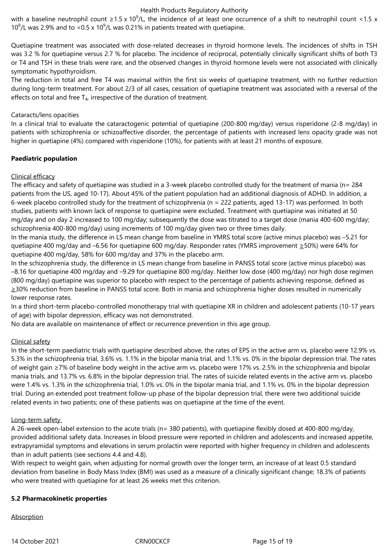with a baseline neutrophil count ≥1.5 x 10<sup>9</sup>/L, the incidence of at least one occurrence of a shift to neutrophil count <1.5 x 10<sup>9</sup>/L was 2.9% and to <0.5 x 10<sup>9</sup>/L was 0.21% in patients treated with quetiapine.

Quetiapine treatment was associated with dose-related decreases in thyroid hormone levels. The incidences of shifts in TSH was 3.2 % for quetiapine versus 2.7 % for placebo. The incidence of reciprocal, potentially clinically significant shifts of both T3 or T4 and TSH in these trials were rare, and the observed changes in thyroid hormone levels were not associated with clinically symptomatic hypothyroidism.

The reduction in total and free T4 was maximal within the first six weeks of quetiapine treatment, with no further reduction during long-term treatment. For about 2/3 of all cases, cessation of quetiapine treatment was associated with a reversal of the effects on total and free  $T_{4}$ , irrespective of the duration of treatment.

## Cataracts/lens opacities

In a clinical trial to evaluate the cataractogenic potential of quetiapine (200-800 mg/day) versus risperidone (2-8 mg/day) in patients with schizophrenia or schizoaffective disorder, the percentage of patients with increased lens opacity grade was not higher in quetiapine (4%) compared with risperidone (10%), for patients with at least 21 months of exposure.

# **Paediatric population**

## Clinical efficacy

The efficacy and safety of quetiapine was studied in a 3-week placebo controlled study for the treatment of mania (n= 284 patients from the US, aged 10-17). About 45% of the patient population had an additional diagnosis of ADHD. In addition, a 6-week placebo controlled study for the treatment of schizophrenia (n = 222 patients, aged 13-17) was performed. In both studies, patients with known lack of response to quetiapine were excluded. Treatment with quetiapine was initiated at 50 mg/day and on day 2 increased to 100 mg/day; subsequently the dose was titrated to a target dose (mania 400-600 mg/day; schizophrenia 400-800 mg/day) using increments of 100 mg/day given two or three times daily.

In the mania study, the difference in LS mean change from baseline in YMRS total score (active minus placebo) was –5.21 for quetiapine 400 mg/day and –6.56 for quetiapine 600 mg/day. Responder rates (YMRS improvement ≥50%) were 64% for quetiapine 400 mg/day, 58% for 600 mg/day and 37% in the placebo arm.

In the schizophrenia study, the difference in LS mean change from baseline in PANSS total score (active minus placebo) was –8.16 for quetiapine 400 mg/day and –9.29 for quetiapine 800 mg/day. Neither low dose (400 mg/day) nor high dose regimen (800 mg/day) quetiapine was superior to placebo with respect to the percentage of patients achieving response, defined as ≥30% reduction from baseline in PANSS total score. Both in mania and schizophrenia higher doses resulted in numerically lower response rates.

In a third short-term placebo-controlled monotherapy trial with quetiapine XR in children and adolescent patients (10-17 years of age) with bipolar depression, efficacy was not demonstrated.

No data are available on maintenance of effect or recurrence prevention in this age group.

#### Clinical safety

In the short-term paediatric trials with quetiapine described above, the rates of EPS in the active arm vs. placebo were 12.9% vs. 5.3% in the schizophrenia trial, 3.6% vs. 1.1% in the bipolar mania trial, and 1.1% vs. 0% in the bipolar depression trial. The rates of weight gain ≥7% of baseline body weight in the active arm vs. placebo were 17% vs. 2.5% in the schizophrenia and bipolar mania trials, and 13.7% vs. 6.8% in the bipolar depression trial. The rates of suicide related events in the active arm vs. placebo were 1.4% vs. 1.3% in the schizophrenia trial, 1.0% vs. 0% in the bipolar mania trial, and 1.1% vs. 0% in the bipolar depression trial. During an extended post treatment follow-up phase of the bipolar depression trial, there were two additional suicide related events in two patients; one of these patients was on quetiapine at the time of the event.

#### Long-term safety

A 26-week open-label extension to the acute trials (n= 380 patients), with quetiapine flexibly dosed at 400-800 mg/day, provided additional safety data. Increases in blood pressure were reported in children and adolescents and increased appetite, extrapyramidal symptoms and elevations in serum prolactin were reported with higher frequency in children and adolescents than in adult patients (see sections 4.4 and 4.8).

With respect to weight gain, when adjusting for normal growth over the longer term, an increase of at least 0.5 standard deviation from baseline in Body Mass Index (BMI) was used as a measure of a clinically significant change; 18.3% of patients who were treated with quetiapine for at least 26 weeks met this criterion.

#### **5.2 Pharmacokinetic properties**

# **Absorption**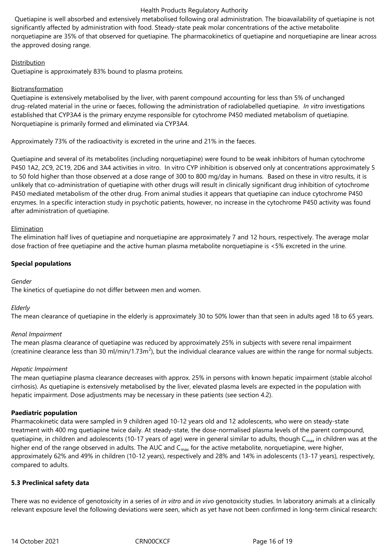Quetiapine is well absorbed and extensively metabolised following oral administration. The bioavailability of quetiapine is not significantly affected by administration with food. Steady-state peak molar concentrations of the active metabolite norquetiapine are 35% of that observed for quetiapine. The pharmacokinetics of quetiapine and norquetiapine are linear across the approved dosing range.

#### Distribution

Quetiapine is approximately 83% bound to plasma proteins.

## Biotransformation

Quetiapine is extensively metabolised by the liver, with parent compound accounting for less than 5% of unchanged drug‑related material in the urine or faeces, following the administration of radiolabelled quetiapine. *In vitro* investigations established that CYP3A4 is the primary enzyme responsible for cytochrome P450 mediated metabolism of quetiapine. Norquetiapine is primarily formed and eliminated via CYP3A4.

Approximately 73% of the radioactivity is excreted in the urine and 21% in the faeces.

Quetiapine and several of its metabolites (including norquetiapine) were found to be weak inhibitors of human cytochrome P450 1A2, 2C9, 2C19, 2D6 and 3A4 activities in vitro. In vitro CYP inhibition is observed only at concentrations approximately 5 to 50 fold higher than those observed at a dose range of 300 to 800 mg/day in humans. Based on these in vitro results, it is unlikely that co-administration of quetiapine with other drugs will result in clinically significant drug inhibition of cytochrome P450 mediated metabolism of the other drug. From animal studies it appears that quetiapine can induce cytochrome P450 enzymes. In a specific interaction study in psychotic patients, however, no increase in the cytochrome P450 activity was found after administration of quetiapine.

## Elimination

The elimination half lives of quetiapine and norquetiapine are approximately 7 and 12 hours, respectively. The average molar dose fraction of free quetiapine and the active human plasma metabolite norquetiapine is <5% excreted in the urine.

## **Special populations**

#### *Gender*

The kinetics of quetiapine do not differ between men and women.

#### *Elderly*

The mean clearance of quetiapine in the elderly is approximately 30 to 50% lower than that seen in adults aged 18 to 65 years.

#### *Renal Impairment*

The mean plasma clearance of quetiapine was reduced by approximately 25% in subjects with severe renal impairment (creatinine clearance less than 30 ml/min/1.73m<sup>2</sup>), but the individual clearance values are within the range for normal subjects.

#### *Hepatic Impairment*

The mean quetiapine plasma clearance decreases with approx. 25% in persons with known hepatic impairment (stable alcohol cirrhosis). As quetiapine is extensively metabolised by the liver, elevated plasma levels are expected in the population with hepatic impairment. Dose adjustments may be necessary in these patients (see section 4.2).

# **Paediatric population**

Pharmacokinetic data were sampled in 9 children aged 10-12 years old and 12 adolescents, who were on steady-state treatment with 400 mg quetiapine twice daily. At steady-state, the dose-normalised plasma levels of the parent compound, quetiapine, in children and adolescents (10-17 years of age) were in general similar to adults, though  $C_{\text{max}}$  in children was at the higher end of the range observed in adults. The AUC and  $C_{\text{max}}$  for the active metabolite, norquetiapine, were higher, approximately 62% and 49% in children (10-12 years), respectively and 28% and 14% in adolescents (13-17 years), respectively, compared to adults.

#### **5.3 Preclinical safety data**

There was no evidence of genotoxicity in a series of *in vitro* and *in vivo* genotoxicity studies. In laboratory animals at a clinically relevant exposure level the following deviations were seen, which as yet have not been confirmed in long-term clinical research: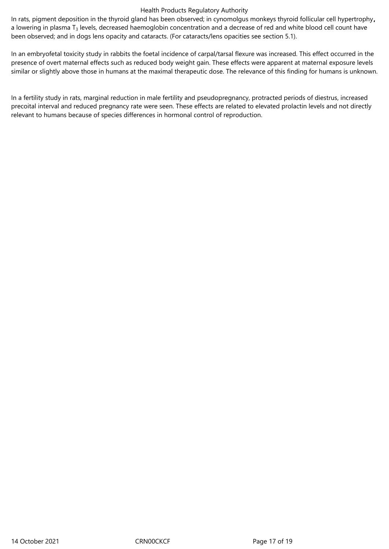In rats, pigment deposition in the thyroid gland has been observed; in cynomolgus monkeys thyroid follicular cell hypertrophy**,**  a lowering in plasma  $T_3$  levels, decreased haemoglobin concentration and a decrease of red and white blood cell count have been observed; and in dogs lens opacity and cataracts. (For cataracts/lens opacities see section 5.1).

In an embryofetal toxicity study in rabbits the foetal incidence of carpal/tarsal flexure was increased. This effect occurred in the presence of overt maternal effects such as reduced body weight gain. These effects were apparent at maternal exposure levels similar or slightly above those in humans at the maximal therapeutic dose. The relevance of this finding for humans is unknown.

In a fertility study in rats, marginal reduction in male fertility and pseudopregnancy, protracted periods of diestrus, increased precoital interval and reduced pregnancy rate were seen. These effects are related to elevated prolactin levels and not directly relevant to humans because of species differences in hormonal control of reproduction.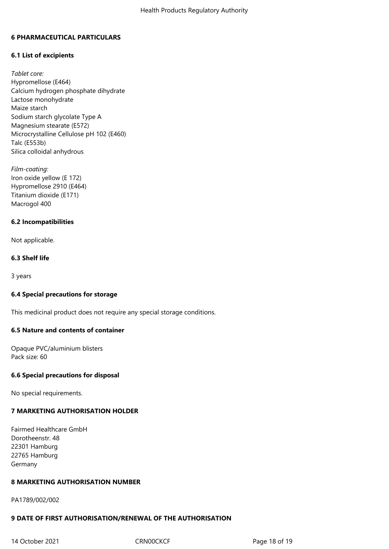#### **6 PHARMACEUTICAL PARTICULARS**

#### **6.1 List of excipients**

*Tablet core:* Hypromellose (E464) Calcium hydrogen phosphate dihydrate Lactose monohydrate Maize starch Sodium starch glycolate Type A Magnesium stearate (E572) Microcrystalline Cellulose pH 102 (E460) Talc (E553b) Silica colloidal anhydrous

*Film-coating:* Iron oxide yellow (E 172) Hypromellose 2910 (E464) Titanium dioxide (E171) Macrogol 400

#### **6.2 Incompatibilities**

Not applicable.

#### **6.3 Shelf life**

3 years

#### **6.4 Special precautions for storage**

This medicinal product does not require any special storage conditions.

#### **6.5 Nature and contents of container**

Opaque PVC/aluminium blisters Pack size: 60

#### **6.6 Special precautions for disposal**

No special requirements.

# **7 MARKETING AUTHORISATION HOLDER**

Fairmed Healthcare GmbH Dorotheenstr. 48 22301 Hamburg 22765 Hamburg Germany

#### **8 MARKETING AUTHORISATION NUMBER**

PA1789/002/002

#### **9 DATE OF FIRST AUTHORISATION/RENEWAL OF THE AUTHORISATION**

14 October 2021 **CRNOOCKCF** CRNOOCKCF Page 18 of 19